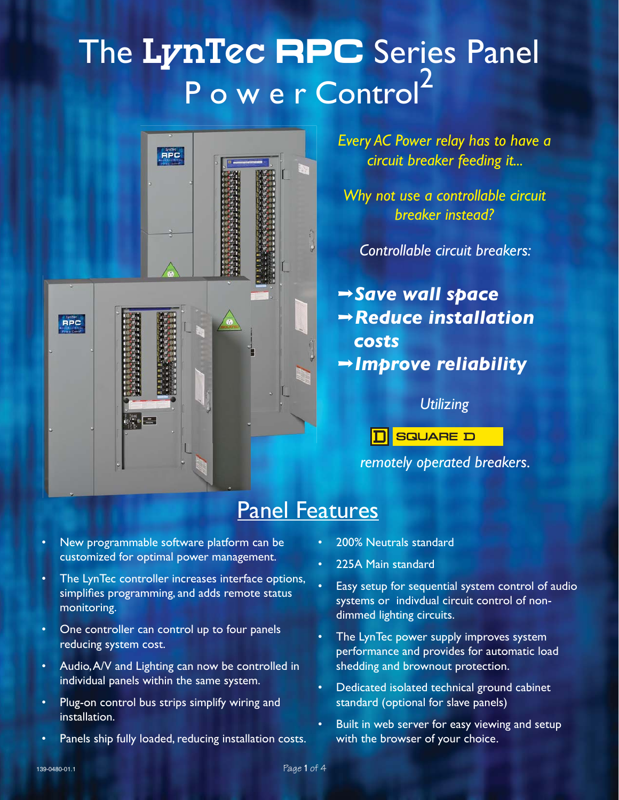# The LynTec **RPC** Series Panel P o w e r Control<sup>2</sup>



*Every AC Power relay has to have a circuit breaker feeding it...*

*Why not use a controllable circuit breaker instead?*

*Controllable circuit breakers:*

fi*Save wall space* fi*Reduce installation costs* fi*Improve reliability*

#### *Utilizing*

**SQUARE D** 

*remotely operated breakers.*

## Panel Features

- New programmable software platform can be customized for optimal power management. •
- The LynTec controller increases interface options, simplifies programming, and adds remote status monitoring. •
- One controller can control up to four panels reducing system cost. •
- Audio, A/V and Lighting can now be controlled in individual panels within the same system. •
- Plug-on control bus strips simplify wiring and installation. •
- Panels ship fully loaded, reducing installation costs. •
- 200% Neutrals standard •
- 225A Main standard •
- Easy setup for sequential system control of audio systems or indivdual circuit control of nondimmed lighting circuits. •
- The LynTec power supply improves system performance and provides for automatic load shedding and brownout protection. •
- Dedicated isolated technical ground cabinet standard (optional for slave panels) •
- Built in web server for easy viewing and setup with the browser of your choice. •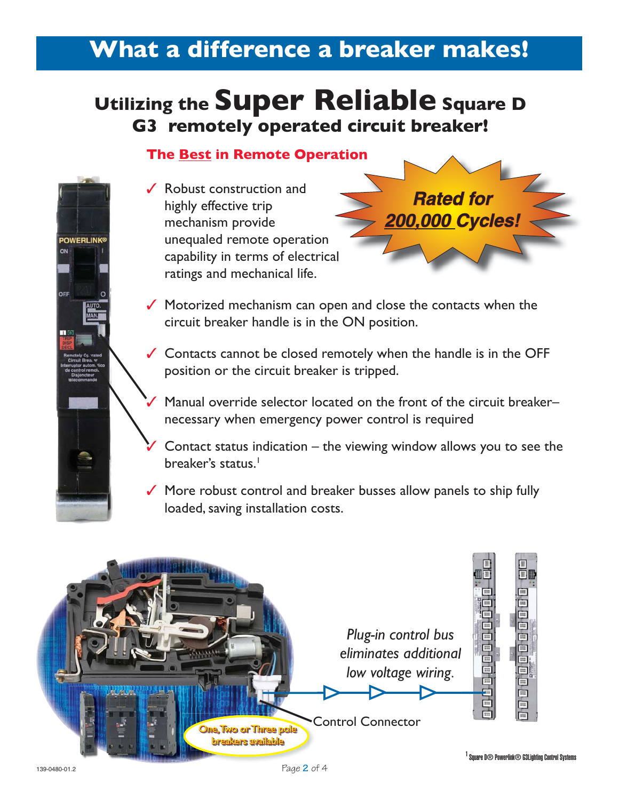# **What a difference a breaker makes!**

# **Utilizing the Super Reliable Square D G3 remotely operated circuit breaker!**

### **The Best in Remote Operation**

**✓** Robust construction and highly effective trip mechanism provide unequaled remote operation capability in terms of electrical ratings and mechanical life.

✓

**POWERLINK®** 

**Rated for** *200,000 Cycles!*

- ✔ Motorized mechanism can open and close the contacts when the circuit breaker handle is in the ON position.
- Contacts cannot be closed remotely when the handle is in the OFF ✓ position or the circuit breaker is tripped.
	- Manual override selector located on the front of the circuit breaker– necessary when emergency power control is required
- Contact status indication the viewing window allows you to see the breaker's status.<sup>1</sup> ✓
- ✔ More robust control and breaker busses allow panels to ship fully loaded, saving installation costs.

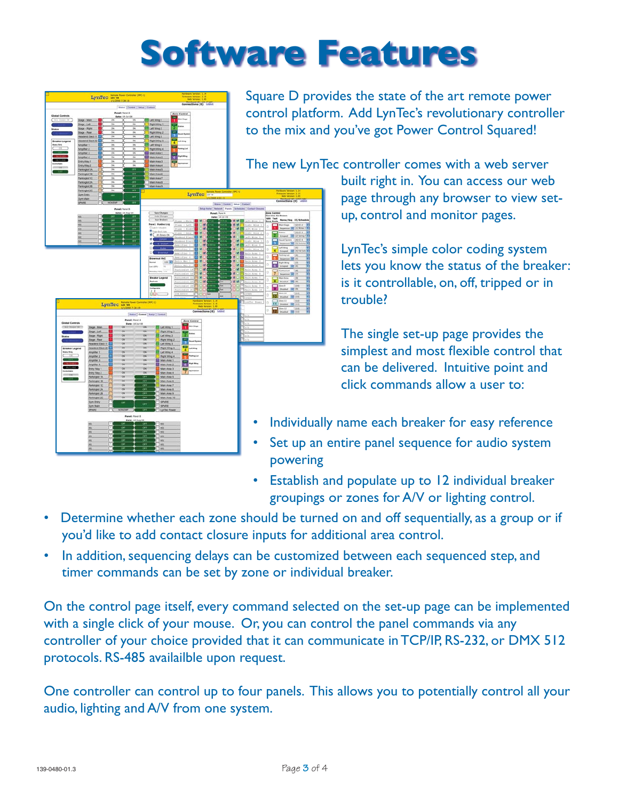# **Software Features**

**LunTon** LynTec in

LynTec

Square D provides the state of the art remote power control platform. Add LynTec's revolutionary controller to the mix and you've got Power Control Squared!

The new LynTec controller comes with a web server

built right in. You can access our web page through any browser to view setup, control and monitor pages.

LynTec's simple color coding system lets you know the status of the breaker: is it controllable, on, off, tripped or in trouble?

The single set-up page provides the simplest and most flexible control that can be delivered. Intuitive point and click commands allow a user to:

- Individually name each breaker for easy reference
- Set up an entire panel sequence for audio system powering
- Establish and populate up to 12 individual breaker groupings or zones for A/V or lighting control.
- Determine whether each zone should be turned on and off sequentially, as a group or if you'd like to add contact closure inputs for additional area control.
- In addition, sequencing delays can be customized between each sequenced step, and timer commands can be set by zone or individual breaker.

On the control page itself, every command selected on the set-up page can be implemented with a single click of your mouse. Or, you can control the panel commands via any controller of your choice provided that it can communicate in TCP/IP, RS-232, or DMX 512 protocols. RS-485 availailble upon request.

One controller can control up to four panels. This allows you to potentially control all your audio, lighting and A/V from one system.